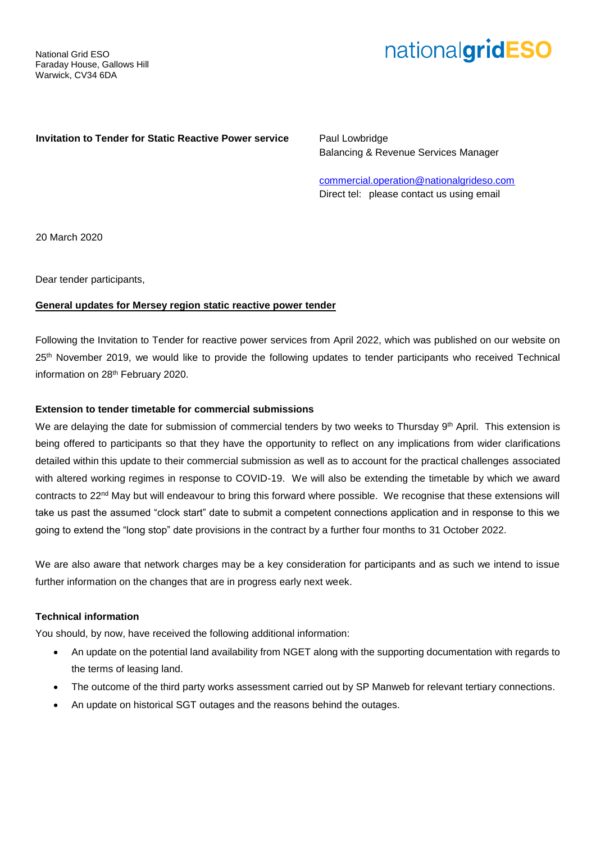# nationalgridESO

## **Invitation to Tender for Static Reactive Power service** Paul Lowbridge

Balancing & Revenue Services Manager

[commercial.operation@nationalgrideso.com](mailto:commercial.operation@nationalgrideso.com) Direct tel: please contact us using email

20 March 2020

Dear tender participants,

## **General updates for Mersey region static reactive power tender**

Following the Invitation to Tender for reactive power services from April 2022, which was published on our website on 25<sup>th</sup> November 2019, we would like to provide the following updates to tender participants who received Technical information on 28<sup>th</sup> February 2020.

## **Extension to tender timetable for commercial submissions**

We are delaying the date for submission of commercial tenders by two weeks to Thursday 9th April. This extension is being offered to participants so that they have the opportunity to reflect on any implications from wider clarifications detailed within this update to their commercial submission as well as to account for the practical challenges associated with altered working regimes in response to COVID-19. We will also be extending the timetable by which we award contracts to 22<sup>nd</sup> May but will endeavour to bring this forward where possible. We recognise that these extensions will take us past the assumed "clock start" date to submit a competent connections application and in response to this we going to extend the "long stop" date provisions in the contract by a further four months to 31 October 2022.

We are also aware that network charges may be a key consideration for participants and as such we intend to issue further information on the changes that are in progress early next week.

# **Technical information**

You should, by now, have received the following additional information:

- An update on the potential land availability from NGET along with the supporting documentation with regards to the terms of leasing land.
- The outcome of the third party works assessment carried out by SP Manweb for relevant tertiary connections.
- An update on historical SGT outages and the reasons behind the outages.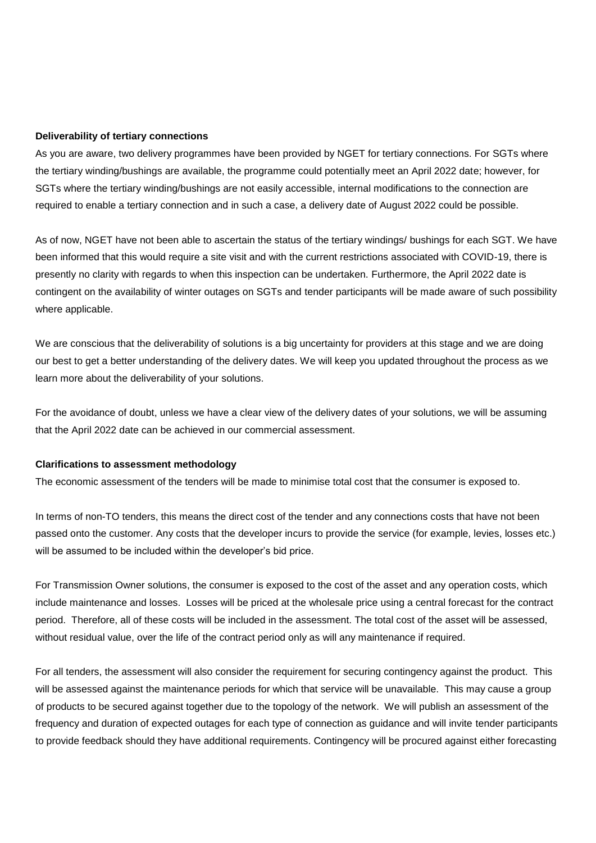#### **Deliverability of tertiary connections**

As you are aware, two delivery programmes have been provided by NGET for tertiary connections. For SGTs where the tertiary winding/bushings are available, the programme could potentially meet an April 2022 date; however, for SGTs where the tertiary winding/bushings are not easily accessible, internal modifications to the connection are required to enable a tertiary connection and in such a case, a delivery date of August 2022 could be possible.

As of now, NGET have not been able to ascertain the status of the tertiary windings/ bushings for each SGT. We have been informed that this would require a site visit and with the current restrictions associated with COVID-19, there is presently no clarity with regards to when this inspection can be undertaken. Furthermore, the April 2022 date is contingent on the availability of winter outages on SGTs and tender participants will be made aware of such possibility where applicable.

We are conscious that the deliverability of solutions is a big uncertainty for providers at this stage and we are doing our best to get a better understanding of the delivery dates. We will keep you updated throughout the process as we learn more about the deliverability of your solutions.

For the avoidance of doubt, unless we have a clear view of the delivery dates of your solutions, we will be assuming that the April 2022 date can be achieved in our commercial assessment.

#### **Clarifications to assessment methodology**

The economic assessment of the tenders will be made to minimise total cost that the consumer is exposed to.

In terms of non-TO tenders, this means the direct cost of the tender and any connections costs that have not been passed onto the customer. Any costs that the developer incurs to provide the service (for example, levies, losses etc.) will be assumed to be included within the developer's bid price.

For Transmission Owner solutions, the consumer is exposed to the cost of the asset and any operation costs, which include maintenance and losses. Losses will be priced at the wholesale price using a central forecast for the contract period. Therefore, all of these costs will be included in the assessment. The total cost of the asset will be assessed, without residual value, over the life of the contract period only as will any maintenance if required.

For all tenders, the assessment will also consider the requirement for securing contingency against the product. This will be assessed against the maintenance periods for which that service will be unavailable. This may cause a group of products to be secured against together due to the topology of the network. We will publish an assessment of the frequency and duration of expected outages for each type of connection as guidance and will invite tender participants to provide feedback should they have additional requirements. Contingency will be procured against either forecasting